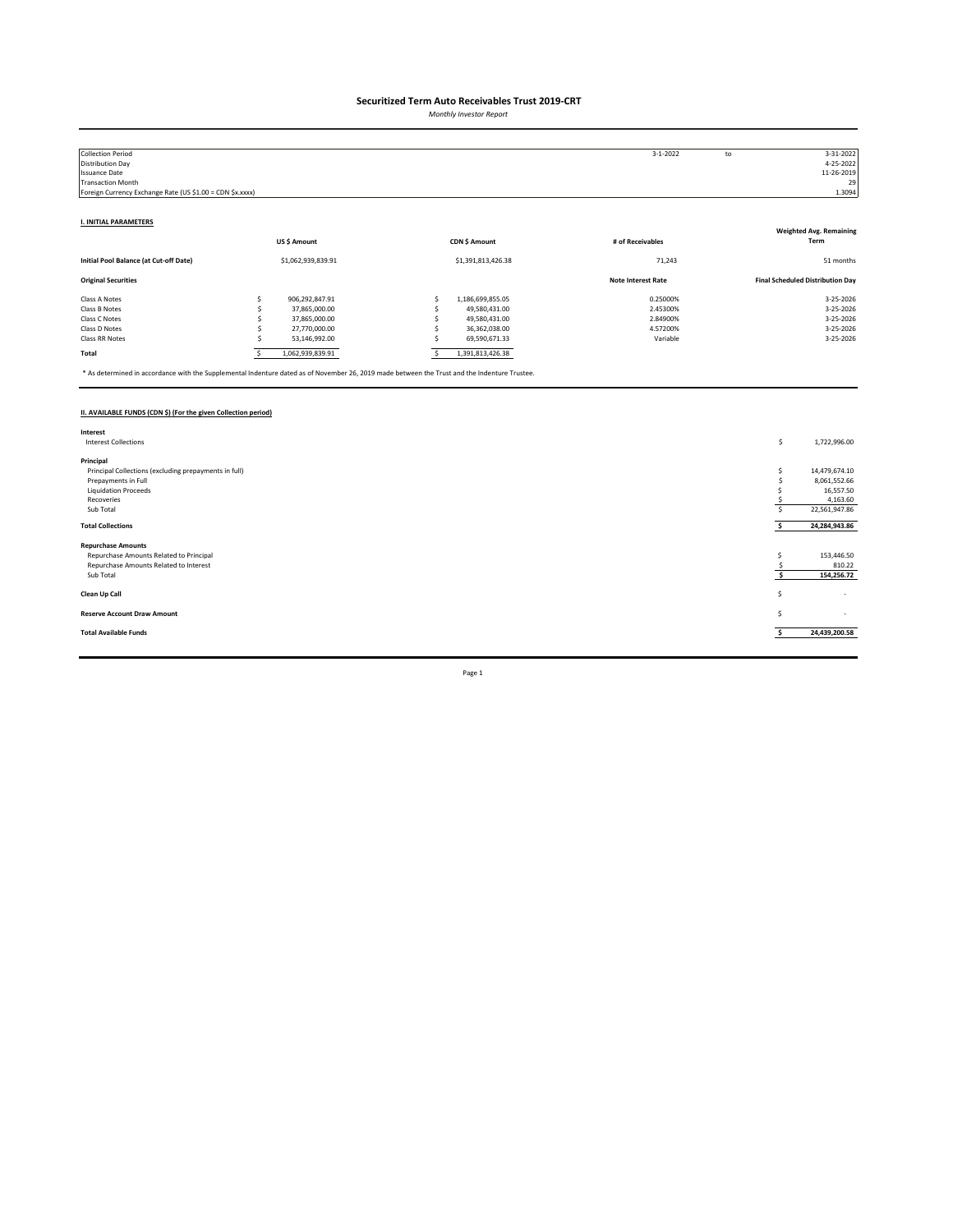*Monthly Investor Report*

| <b>Collection Period</b>                                  |             |                    |                    | $3 - 1 - 2022$            | to | 3-31-2022                               |  |  |
|-----------------------------------------------------------|-------------|--------------------|--------------------|---------------------------|----|-----------------------------------------|--|--|
| Distribution Day                                          |             |                    |                    |                           |    | 4-25-2022                               |  |  |
| <b>Issuance Date</b>                                      |             |                    |                    |                           |    | 11-26-2019                              |  |  |
| <b>Transaction Month</b>                                  |             |                    |                    |                           |    | 29                                      |  |  |
| Foreign Currency Exchange Rate (US \$1.00 = CDN \$x.xxxx) |             |                    |                    |                           |    | 1.3094                                  |  |  |
|                                                           |             |                    |                    |                           |    |                                         |  |  |
| <b>I. INITIAL PARAMETERS</b>                              |             |                    |                    |                           |    |                                         |  |  |
|                                                           |             |                    |                    |                           |    | <b>Weighted Avg. Remaining</b>          |  |  |
|                                                           | US\$ Amount |                    | CDN \$ Amount      | # of Receivables          |    | Term                                    |  |  |
| Initial Pool Balance (at Cut-off Date)                    |             | \$1,062,939,839.91 | \$1,391,813,426.38 | 71,243                    |    | 51 months                               |  |  |
| <b>Original Securities</b>                                |             |                    |                    | <b>Note Interest Rate</b> |    | <b>Final Scheduled Distribution Day</b> |  |  |
| Class A Notes                                             |             | 906,292,847.91     | 1,186,699,855.05   | 0.25000%                  |    | 3-25-2026                               |  |  |
| Class B Notes                                             |             | 37,865,000.00      | 49,580,431.00      | 2.45300%                  |    | 3-25-2026                               |  |  |
| Class C Notes                                             |             | 37,865,000.00      | 49,580,431.00      | 2.84900%                  |    | 3-25-2026                               |  |  |
| Class D Notes                                             |             | 27,770,000.00      | 36,362,038.00      | 4.57200%                  |    | 3-25-2026                               |  |  |
| Class RR Notes                                            |             | 53,146,992.00      | 69,590,671.33      | Variable                  |    | 3-25-2026                               |  |  |
| Total                                                     |             | 1,062,939,839.91   | 1,391,813,426.38   |                           |    |                                         |  |  |

\* As determined in accordance with the Supplemental Indenture dated as of November 26, 2019 made between the Trust and the Indenture Trustee.

### **II. AVAILABLE FUNDS (CDN \$) (For the given Collection period)**

| Interest                                              |    |               |
|-------------------------------------------------------|----|---------------|
| <b>Interest Collections</b>                           | \$ | 1,722,996.00  |
| Principal                                             |    |               |
|                                                       |    |               |
| Principal Collections (excluding prepayments in full) |    | 14,479,674.10 |
| Prepayments in Full                                   |    | 8,061,552.66  |
| <b>Liquidation Proceeds</b>                           |    | 16,557.50     |
| Recoveries                                            |    | 4,163.60      |
| Sub Total                                             |    | 22,561,947.86 |
|                                                       |    |               |
| <b>Total Collections</b>                              |    | 24,284,943.86 |
|                                                       |    |               |
| <b>Repurchase Amounts</b>                             |    |               |
| Repurchase Amounts Related to Principal               |    | 153,446.50    |
| Repurchase Amounts Related to Interest                |    | 810.22        |
| Sub Total                                             |    | 154,256.72    |
|                                                       |    |               |
| Clean Up Call                                         | s  | $\sim$        |
|                                                       |    |               |
| <b>Reserve Account Draw Amount</b>                    | s  | $\sim$        |
|                                                       |    |               |
| <b>Total Available Funds</b>                          |    | 24,439,200.58 |
|                                                       |    |               |
|                                                       |    |               |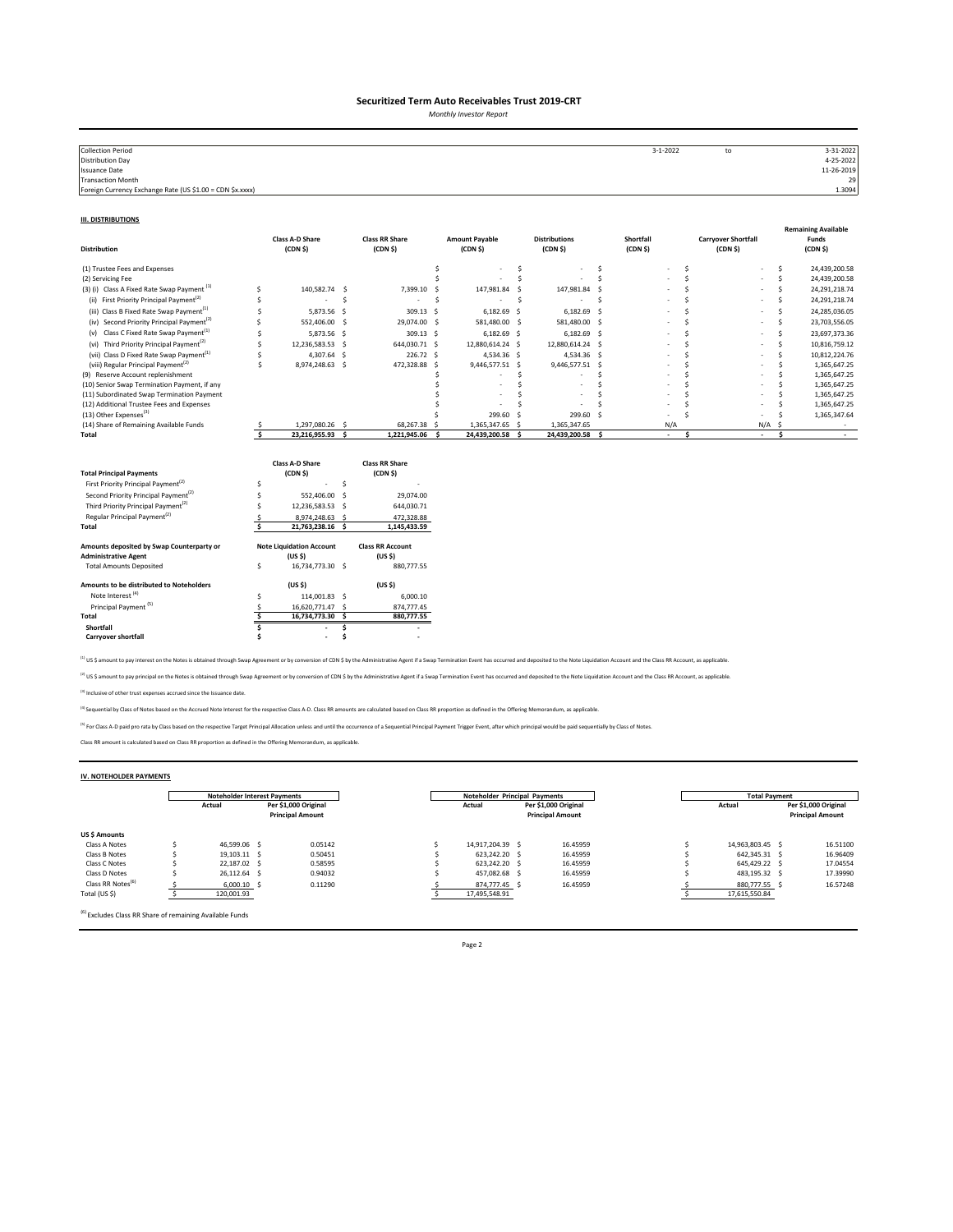*Monthly Investor Report*

| <b>Collection Period</b>                                  | $3 - 1 - 2022$ | to | 3-31-2022  |
|-----------------------------------------------------------|----------------|----|------------|
| <b>Distribution Day</b>                                   |                |    | 4-25-2022  |
| <b>Issuance Date</b>                                      |                |    | 11-26-2019 |
| Transaction Month                                         |                |    | 29         |
| Foreign Currency Exchange Rate (US \$1.00 = CDN \$x.xxxx) |                |    | 1.3094     |

#### **III. DISTRIBUTIONS**

|                                                        |    |                                               |      |                                              |     |                                              |      |                                             |    |                                  |              |                                       |              | <b>Remaining Available</b>   |
|--------------------------------------------------------|----|-----------------------------------------------|------|----------------------------------------------|-----|----------------------------------------------|------|---------------------------------------------|----|----------------------------------|--------------|---------------------------------------|--------------|------------------------------|
| <b>Distribution</b>                                    |    | <b>Class A-D Share</b><br>(CDN <sub>5</sub> ) |      | <b>Class RR Share</b><br>(CDN <sub>5</sub> ) |     | <b>Amount Payable</b><br>(CDN <sub>5</sub> ) |      | <b>Distributions</b><br>(CDN <sub>5</sub> ) |    | Shortfall<br>(CDN <sub>5</sub> ) |              | <b>Carryover Shortfall</b><br>(CDN S) |              | Funds<br>(CDN <sub>5</sub> ) |
| (1) Trustee Fees and Expenses                          |    |                                               |      |                                              | Ś   |                                              | Ŝ    |                                             | Ŝ  |                                  | Ś            |                                       | Ś            | 24.439.200.58                |
| (2) Servicing Fee                                      |    |                                               |      |                                              | Ś   |                                              | s.   |                                             | Ś  |                                  | Ś            |                                       | Ś            | 24,439,200.58                |
| (3) (i) Class A Fixed Rate Swap Payment <sup>(1)</sup> | Ś  | 140.582.74                                    | - S  | 7.399.10 S                                   |     | 147,981.84                                   | -S   | 147,981.84 \$                               |    |                                  | Ś            |                                       | Ś            | 24, 291, 218.74              |
| (ii) First Priority Principal Payment <sup>(2)</sup>   | Ś  |                                               | Ś    | ٠                                            | -S  |                                              | .s   |                                             | .s |                                  | Ś            |                                       | Ś            | 24, 291, 218.74              |
| (iii) Class B Fixed Rate Swap Payment <sup>(1)</sup>   |    | 5,873.56                                      | - \$ | 309.13 \$                                    |     | $6,182.69$ \$                                |      | $6,182.69$ \$                               |    |                                  | Ś            |                                       | Ś            | 24,285,036.05                |
| (iv) Second Priority Principal Payment <sup>(2)</sup>  |    | 552,406.00                                    | -Ś   | 29,074.00 \$                                 |     | 581,480.00 \$                                |      | 581,480.00 \$                               |    |                                  | ¢            |                                       | Ś            | 23,703,556.05                |
| Class C Fixed Rate Swap Payment <sup>(1)</sup><br>(v)  | S  | 5,873.56 \$                                   |      | 309.13 \$                                    |     | $6.182.69$ \$                                |      | $6,182.69$ \$                               |    |                                  | <sup>s</sup> |                                       | Ś            | 23,697,373.36                |
| (vi) Third Priority Principal Payment <sup>(2)</sup>   | Ś  | 12,236,583.53 \$                              |      | 644,030.71 \$                                |     | 12,880,614.24 \$                             |      | 12,880,614.24 \$                            |    |                                  | Ś            |                                       | Ś            | 10,816,759.12                |
| (vii) Class D Fixed Rate Swap Payment <sup>(1)</sup>   |    | 4,307.64 \$                                   |      | 226.72 \$                                    |     | 4,534.36 \$                                  |      | 4,534.36 \$                                 |    |                                  |              |                                       | Š.           | 10,812,224.76                |
| (viii) Regular Principal Payment <sup>(2)</sup>        | Ś  | 8,974,248.63 \$                               |      | 472,328.88 \$                                |     | 9,446,577.51 \$                              |      | 9,446,577.51 \$                             |    |                                  | Ś            |                                       | <sup>s</sup> | 1,365,647.25                 |
| (9) Reserve Account replenishment                      |    |                                               |      |                                              |     |                                              | Ś    |                                             |    |                                  |              |                                       |              | 1,365,647.25                 |
| (10) Senior Swap Termination Payment, if any           |    |                                               |      |                                              |     |                                              | Ś    |                                             |    |                                  |              |                                       |              | 1,365,647.25                 |
| (11) Subordinated Swap Termination Payment             |    |                                               |      |                                              |     |                                              | \$.  |                                             | Š. |                                  | Ś            |                                       |              | 1,365,647.25                 |
| (12) Additional Trustee Fees and Expenses              |    |                                               |      |                                              |     |                                              |      |                                             | .S |                                  |              |                                       |              | 1,365,647.25                 |
| (13) Other Expenses <sup>(3)</sup>                     |    |                                               |      |                                              |     | 299.60                                       | - \$ | 299.60 \$                                   |    |                                  |              |                                       |              | 1,365,347.64                 |
| (14) Share of Remaining Available Funds<br>Total       | s. | 1,297,080.26 \$<br>23,216,955.93              | Ś.   | 68,267.38 \$<br>1,221,945.06                 | - S | 1,365,347.65 \$<br>24,439,200.58 \$          |      | 1,365,347.65<br>24,439,200.58 \$            |    | N/A<br>$\sim$                    | .s           | N/A<br>$\mathbf{r}$                   | -S<br>\$     | $\sim$<br>$\sim$             |
|                                                        |    | Class A-D Share                               |      | <b>Class RR Share</b>                        |     |                                              |      |                                             |    |                                  |              |                                       |              |                              |
| <b>Total Principal Payments</b>                        |    | (CDN <sub>5</sub> )                           |      | (CDN <sub>5</sub> )                          |     |                                              |      |                                             |    |                                  |              |                                       |              |                              |
| First Priority Principal Payment <sup>(2)</sup>        | Ś  |                                               | .S   |                                              |     |                                              |      |                                             |    |                                  |              |                                       |              |                              |
| Second Priority Principal Payment <sup>(2)</sup>       |    | 552,406.00                                    | -Ś   | 29,074.00                                    |     |                                              |      |                                             |    |                                  |              |                                       |              |                              |
| Third Priority Principal Payment <sup>(2)</sup>        |    | 12,236,583.53 \$                              |      | 644,030.71                                   |     |                                              |      |                                             |    |                                  |              |                                       |              |                              |
| Regular Principal Payment <sup>(2)</sup>               |    | 8,974,248.63 \$                               |      | 472,328.88                                   |     |                                              |      |                                             |    |                                  |              |                                       |              |                              |
| Total                                                  | s. | 21,763,238.16 \$                              |      | 1,145,433.59                                 |     |                                              |      |                                             |    |                                  |              |                                       |              |                              |
| Amounts deposited by Swap Counterparty or              |    | <b>Note Liquidation Account</b>               |      | <b>Class RR Account</b>                      |     |                                              |      |                                             |    |                                  |              |                                       |              |                              |
| <b>Administrative Agent</b>                            |    | (US <sub>5</sub> )                            |      | (US <sub>5</sub> )                           |     |                                              |      |                                             |    |                                  |              |                                       |              |                              |
| <b>Total Amounts Deposited</b>                         | \$ | 16,734,773.30 \$                              |      | 880,777.55                                   |     |                                              |      |                                             |    |                                  |              |                                       |              |                              |
| Amounts to be distributed to Noteholders               |    | (US S)                                        |      | (US \$)                                      |     |                                              |      |                                             |    |                                  |              |                                       |              |                              |
| Note Interest <sup>(4)</sup>                           | Ś  | 114,001.83 \$                                 |      | 6,000.10                                     |     |                                              |      |                                             |    |                                  |              |                                       |              |                              |
| Principal Payment <sup>(5)</sup>                       |    | 16,620,771.47 \$                              |      | 874,777.45                                   |     |                                              |      |                                             |    |                                  |              |                                       |              |                              |
| Total                                                  | S  |                                               |      |                                              |     |                                              |      |                                             |    |                                  |              |                                       |              |                              |
|                                                        | Ś  | 16,734,773.30 \$                              |      | 880,777.55                                   |     |                                              |      |                                             |    |                                  |              |                                       |              |                              |
| Shortfall                                              |    |                                               | \$   |                                              |     |                                              |      |                                             |    |                                  |              |                                       |              |                              |
| Carryover shortfall                                    |    |                                               |      |                                              |     |                                              |      |                                             |    |                                  |              |                                       |              |                              |

US\$ amount to pay interest on the Notes is obtained through Swap Agreement or by conversion of CDN \$ by the Administrative Agent if a Swap Termination Event has occurred and deposited to the Note Liquidation Account and th

(1) US \$ amount to pay principal on the Notes is obtained through Swap Agreement or by conversion of CDN \$ by the Administrative Agent If a Swap Termination Event has occurred and deposited to the Note Liquidation Account

 $^{(3)}$  Inclusive of other trust expenses accrued since the Issuance date.

<sup>(4)</sup> Sequential by Class of Notes based on the Accrued Note Interest for the respective Class A-D. Class RR amounts are calculated based on Class RR proportion as defined in the Offering Memorandum, as applicable.

<sup>(3)</sup> For Class A-D paid pro rata by Class based on the respective Target Principal Allocation unless and until the occurrence of a Sequential Principal Payment Trigger Event, after which principal would be paid sequential

Class RR amount is calculated based on Class RR proportion as defined in the Offering Memorandum, as applicable.

#### **IV. NOTEHOLDER PAYMENTS**

|                               | Noteholder Interest Payments |                      |                         | Noteholder Principal Payments |                  |  |                         | <b>Total Payment</b> |                         |  |
|-------------------------------|------------------------------|----------------------|-------------------------|-------------------------------|------------------|--|-------------------------|----------------------|-------------------------|--|
|                               | Actual                       | Per \$1,000 Original |                         |                               | Actual           |  | Per \$1,000 Original    | Actual               | Per \$1,000 Original    |  |
|                               |                              |                      | <b>Principal Amount</b> |                               |                  |  | <b>Principal Amount</b> |                      | <b>Principal Amount</b> |  |
| <b>US \$ Amounts</b>          |                              |                      |                         |                               |                  |  |                         |                      |                         |  |
| Class A Notes                 | 46.599.06 \$                 |                      | 0.05142                 |                               | 14.917.204.39 \$ |  | 16.45959                | 14.963.803.45 \$     | 16,51100                |  |
| Class B Notes                 | 19.103.11 S                  |                      | 0.50451                 |                               | 623.242.20 \$    |  | 16.45959                | 642.345.31 \$        | 16,96409                |  |
| Class C Notes                 | 22.187.02 S                  |                      | 0.58595                 |                               | 623.242.20 \$    |  | 16.45959                | 645.429.22 \$        | 17.04554                |  |
| Class D Notes                 | 26,112.64 \$                 |                      | 0.94032                 |                               | 457.082.68 \$    |  | 16.45959                | 483.195.32 \$        | 17.39990                |  |
| Class RR Notes <sup>(6)</sup> | $6,000.10$ \$                |                      | 0.11290                 |                               | 874,777.45 \$    |  | 16.45959                | 880,777.55 \$        | 16.57248                |  |
| Total (US \$)                 | 120,001.93                   |                      |                         |                               | 17,495,548.91    |  |                         | 17,615,550.84        |                         |  |

 $^{(6)}$  Excludes Class RR Share of remaining Available Funds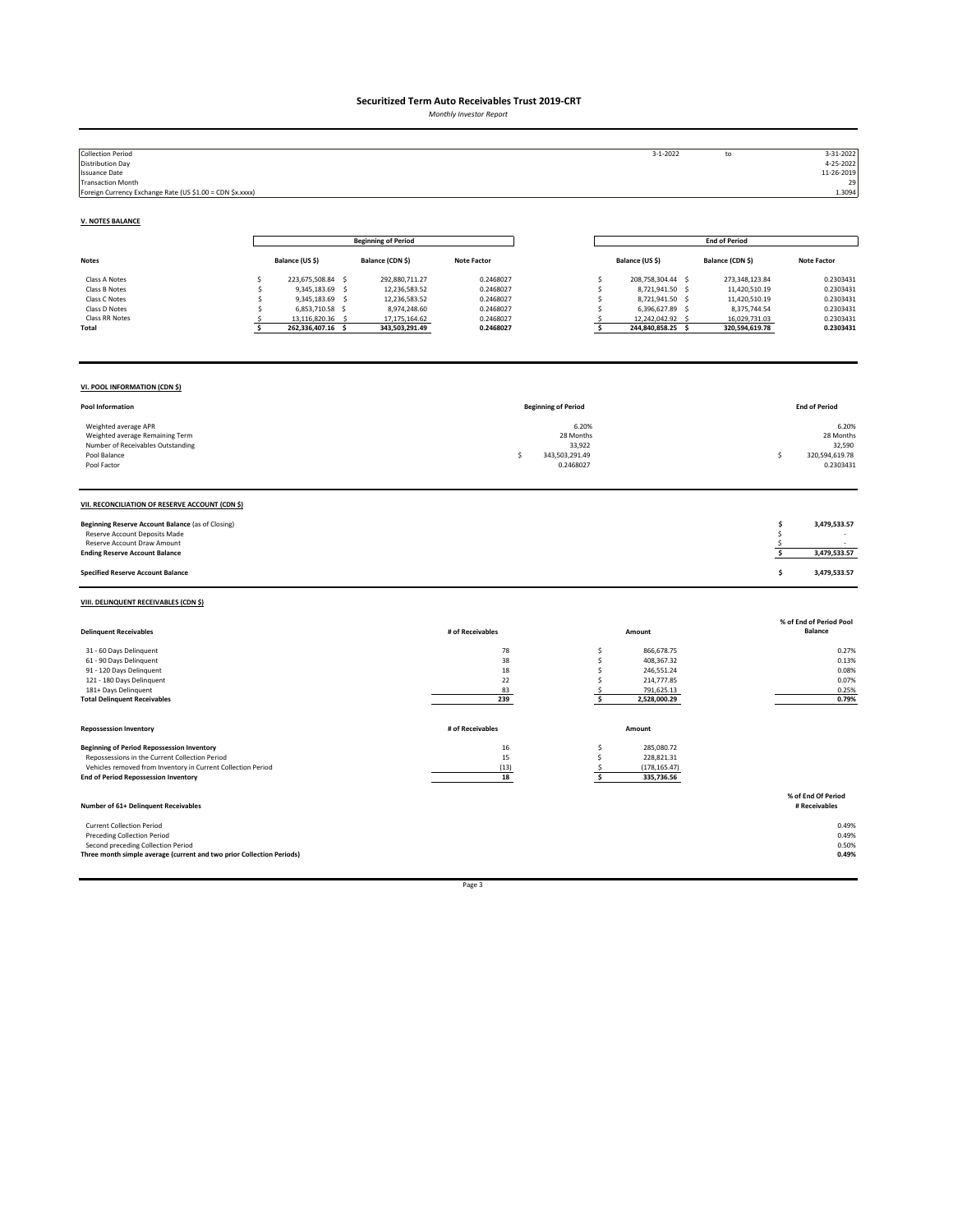*Monthly Investor Report*

| <b>Collection Period</b><br><b>Distribution Day</b><br><b>Issuance Date</b><br><b>Transaction Month</b><br>Foreign Currency Exchange Rate (US \$1.00 = CDN \$x.xxxx)                                               |                                                                                                                                                                 |                                                                                                     |                                                                            |                                                             | $3 - 1 - 2022$                                                                                                                                                       | to                                                                                                  | 3-31-2022<br>4-25-2022<br>11-26-2019<br>29<br>1.3094                       |
|--------------------------------------------------------------------------------------------------------------------------------------------------------------------------------------------------------------------|-----------------------------------------------------------------------------------------------------------------------------------------------------------------|-----------------------------------------------------------------------------------------------------|----------------------------------------------------------------------------|-------------------------------------------------------------|----------------------------------------------------------------------------------------------------------------------------------------------------------------------|-----------------------------------------------------------------------------------------------------|----------------------------------------------------------------------------|
| <b>V. NOTES BALANCE</b>                                                                                                                                                                                            |                                                                                                                                                                 |                                                                                                     |                                                                            |                                                             |                                                                                                                                                                      |                                                                                                     |                                                                            |
|                                                                                                                                                                                                                    |                                                                                                                                                                 | <b>Beginning of Period</b>                                                                          |                                                                            |                                                             |                                                                                                                                                                      | <b>End of Period</b>                                                                                |                                                                            |
| <b>Notes</b>                                                                                                                                                                                                       | Balance (US \$)                                                                                                                                                 | Balance (CDN \$)                                                                                    | <b>Note Factor</b>                                                         |                                                             | Balance (US \$)                                                                                                                                                      | Balance (CDN \$)                                                                                    | <b>Note Factor</b>                                                         |
| Class A Notes<br>Class B Notes<br>Class C Notes<br>Class D Notes<br>Class RR Notes<br>Total                                                                                                                        | 223,675,508.84 \$<br>Ś<br>9,345,183.69<br>\$<br>Š.<br>9,345,183.69<br>-\$<br>Ś<br>6,853,710.58 \$<br>\$<br>13,116,820.36<br>-\$<br>S<br>\$<br>262,336,407.16 \$ | 292,880,711.27<br>12,236,583.52<br>12,236,583.52<br>8,974,248.60<br>17,175,164.62<br>343,503,291.49 | 0.2468027<br>0.2468027<br>0.2468027<br>0.2468027<br>0.2468027<br>0.2468027 |                                                             | \$<br>208,758,304.44 \$<br>\$<br>8,721,941.50<br>-\$<br>\$<br>8,721,941.50<br>\$<br>\$<br>6,396,627.89<br>\$<br>12,242,042.92<br>\$<br>\$<br>\$<br>244,840,858.25 \$ | 273,348,123.84<br>11,420,510.19<br>11,420,510.19<br>8,375,744.54<br>16,029,731.03<br>320,594,619.78 | 0.2303431<br>0.2303431<br>0.2303431<br>0.2303431<br>0.2303431<br>0.2303431 |
| VI. POOL INFORMATION (CDN \$)                                                                                                                                                                                      |                                                                                                                                                                 |                                                                                                     |                                                                            |                                                             |                                                                                                                                                                      |                                                                                                     |                                                                            |
| Pool Information                                                                                                                                                                                                   |                                                                                                                                                                 |                                                                                                     |                                                                            | <b>Beginning of Period</b>                                  |                                                                                                                                                                      |                                                                                                     | <b>End of Period</b>                                                       |
| Weighted average APR<br>Weighted average Remaining Term<br>Number of Receivables Outstanding<br>Pool Balance<br>Pool Factor                                                                                        |                                                                                                                                                                 |                                                                                                     | \$                                                                         | 6.20%<br>28 Months<br>33,922<br>343,503,291.49<br>0.2468027 |                                                                                                                                                                      |                                                                                                     | 6.20%<br>28 Months<br>32,590<br>Ś<br>320,594,619.78<br>0.2303431           |
| VII. RECONCILIATION OF RESERVE ACCOUNT (CDN \$)                                                                                                                                                                    |                                                                                                                                                                 |                                                                                                     |                                                                            |                                                             |                                                                                                                                                                      |                                                                                                     |                                                                            |
| Beginning Reserve Account Balance (as of Closing)<br>Reserve Account Deposits Made<br>Reserve Account Draw Amount<br><b>Ending Reserve Account Balance</b>                                                         |                                                                                                                                                                 |                                                                                                     |                                                                            |                                                             |                                                                                                                                                                      |                                                                                                     | \$<br>3,479,533.57<br>\$<br><u>ي</u><br>$\mathsf{S}$<br>3,479,533.57       |
| <b>Specified Reserve Account Balance</b>                                                                                                                                                                           |                                                                                                                                                                 |                                                                                                     |                                                                            |                                                             |                                                                                                                                                                      |                                                                                                     | \$<br>3,479,533.57                                                         |
| VIII. DELINQUENT RECEIVABLES (CDN \$)                                                                                                                                                                              |                                                                                                                                                                 |                                                                                                     |                                                                            |                                                             |                                                                                                                                                                      |                                                                                                     |                                                                            |
| <b>Delinquent Receivables</b>                                                                                                                                                                                      |                                                                                                                                                                 |                                                                                                     | # of Receivables                                                           |                                                             | Amount                                                                                                                                                               |                                                                                                     | % of End of Period Pool<br><b>Balance</b>                                  |
| 31 - 60 Days Delinquent<br>61 - 90 Days Delinquent<br>91 - 120 Days Delinquent<br>121 - 180 Days Delinquent<br>181+ Days Delinquent<br><b>Total Delinquent Receivables</b>                                         |                                                                                                                                                                 |                                                                                                     | 78<br>38<br>18<br>22<br>83<br>239                                          |                                                             | 866,678.75<br>\$<br>\$<br>408,367.32<br>\$<br>246,551.24<br>\$<br>214,777.85<br>\$<br>791,625.13<br>\$<br>2,528,000.29                                               |                                                                                                     | 0.27%<br>0.13%<br>0.08%<br>0.07%<br>0.25%<br>0.79%                         |
| <b>Repossession Inventory</b>                                                                                                                                                                                      |                                                                                                                                                                 |                                                                                                     | # of Receivables                                                           |                                                             | Amount                                                                                                                                                               |                                                                                                     |                                                                            |
| <b>Beginning of Period Repossession Inventory</b><br>Repossessions in the Current Collection Period<br>Vehicles removed from Inventory in Current Collection Period<br><b>End of Period Repossession Inventory</b> |                                                                                                                                                                 |                                                                                                     | 16<br>15<br>(13)<br>18                                                     | \$<br>\$                                                    | \$<br>285,080.72<br>228,821.31<br>(178, 165.47)<br>\$<br>335,736.56                                                                                                  |                                                                                                     |                                                                            |
| Number of 61+ Delinquent Receivables                                                                                                                                                                               |                                                                                                                                                                 |                                                                                                     |                                                                            |                                                             |                                                                                                                                                                      |                                                                                                     | % of End Of Period<br># Receivables                                        |
| <b>Current Collection Period</b><br><b>Preceding Collection Period</b><br>Second preceding Collection Period<br>Three month simple average (current and two prior Collection Periods)                              |                                                                                                                                                                 |                                                                                                     |                                                                            |                                                             |                                                                                                                                                                      |                                                                                                     | 0.49%<br>0.49%<br>0.50%<br>0.49%                                           |